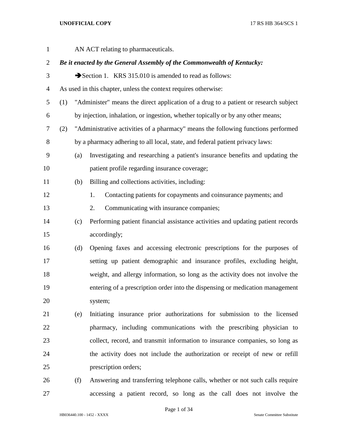| $\mathbf{1}$   |     |     | AN ACT relating to pharmaceuticals.                                                  |
|----------------|-----|-----|--------------------------------------------------------------------------------------|
| $\overline{2}$ |     |     | Be it enacted by the General Assembly of the Commonwealth of Kentucky:               |
| 3              |     |     | Section 1. KRS 315.010 is amended to read as follows:                                |
| $\overline{4}$ |     |     | As used in this chapter, unless the context requires otherwise:                      |
| 5              | (1) |     | "Administer" means the direct application of a drug to a patient or research subject |
| 6              |     |     | by injection, inhalation, or ingestion, whether topically or by any other means;     |
| 7              | (2) |     | "Administrative activities of a pharmacy" means the following functions performed    |
| $8\,$          |     |     | by a pharmacy adhering to all local, state, and federal patient privacy laws:        |
| 9              |     | (a) | Investigating and researching a patient's insurance benefits and updating the        |
| 10             |     |     | patient profile regarding insurance coverage;                                        |
| 11             |     | (b) | Billing and collections activities, including:                                       |
| 12             |     |     | Contacting patients for copayments and coinsurance payments; and<br>1.               |
| 13             |     |     | Communicating with insurance companies;<br>2.                                        |
| 14             |     | (c) | Performing patient financial assistance activities and updating patient records      |
| 15             |     |     | accordingly;                                                                         |
| 16             |     | (d) | Opening faxes and accessing electronic prescriptions for the purposes of             |
| 17             |     |     | setting up patient demographic and insurance profiles, excluding height,             |
| 18             |     |     | weight, and allergy information, so long as the activity does not involve the        |
| 19             |     |     | entering of a prescription order into the dispensing or medication management        |
| 20             |     |     | system;                                                                              |
| 21             |     | (e) | Initiating insurance prior authorizations for submission to the licensed             |
| 22             |     |     | pharmacy, including communications with the prescribing physician to                 |
| 23             |     |     | collect, record, and transmit information to insurance companies, so long as         |
| 24             |     |     | the activity does not include the authorization or receipt of new or refill          |
| 25             |     |     | prescription orders;                                                                 |
| 26             |     | (f) | Answering and transferring telephone calls, whether or not such calls require        |

HB036440.100 - 1452 - XXXX Senate Committee Substitute

Page 1 of 34

accessing a patient record, so long as the call does not involve the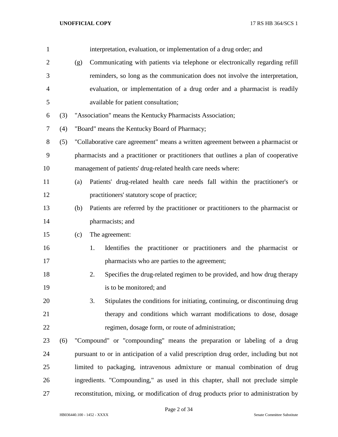| $\mathbf{1}$   |     |     | interpretation, evaluation, or implementation of a drug order; and                   |
|----------------|-----|-----|--------------------------------------------------------------------------------------|
| $\overline{2}$ |     | (g) | Communicating with patients via telephone or electronically regarding refill         |
| 3              |     |     | reminders, so long as the communication does not involve the interpretation,         |
| $\overline{4}$ |     |     | evaluation, or implementation of a drug order and a pharmacist is readily            |
| 5              |     |     | available for patient consultation;                                                  |
| 6              | (3) |     | "Association" means the Kentucky Pharmacists Association;                            |
| 7              | (4) |     | "Board" means the Kentucky Board of Pharmacy;                                        |
| $8\,$          | (5) |     | "Collaborative care agreement" means a written agreement between a pharmacist or     |
| $\mathbf{9}$   |     |     | pharmacists and a practitioner or practitioners that outlines a plan of cooperative  |
| 10             |     |     | management of patients' drug-related health care needs where:                        |
| 11             |     | (a) | Patients' drug-related health care needs fall within the practitioner's or           |
| 12             |     |     | practitioners' statutory scope of practice;                                          |
| 13             |     | (b) | Patients are referred by the practitioner or practitioners to the pharmacist or      |
| 14             |     |     | pharmacists; and                                                                     |
| 15             |     | (c) | The agreement:                                                                       |
| 16             |     |     | Identifies the practitioner or practitioners and the pharmacist or<br>1.             |
| 17             |     |     | pharmacists who are parties to the agreement;                                        |
| 18             |     |     | Specifies the drug-related regimen to be provided, and how drug therapy<br>2.        |
| 19             |     |     | is to be monitored; and                                                              |
| 20             |     |     | Stipulates the conditions for initiating, continuing, or discontinuing drug<br>3.    |
| 21             |     |     | therapy and conditions which warrant modifications to dose, dosage                   |
| 22             |     |     | regimen, dosage form, or route of administration;                                    |
| 23             | (6) |     | "Compound" or "compounding" means the preparation or labeling of a drug              |
| 24             |     |     | pursuant to or in anticipation of a valid prescription drug order, including but not |
| 25             |     |     | limited to packaging, intravenous admixture or manual combination of drug            |
| 26             |     |     | ingredients. "Compounding," as used in this chapter, shall not preclude simple       |
| 27             |     |     | reconstitution, mixing, or modification of drug products prior to administration by  |

Page 2 of 34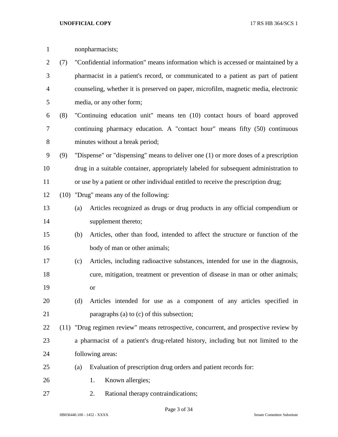| $\mathbf{1}$   |     |                                                                                     | nonpharmacists;                                                                       |  |  |
|----------------|-----|-------------------------------------------------------------------------------------|---------------------------------------------------------------------------------------|--|--|
| $\overline{c}$ | (7) | "Confidential information" means information which is accessed or maintained by a   |                                                                                       |  |  |
| 3              |     |                                                                                     | pharmacist in a patient's record, or communicated to a patient as part of patient     |  |  |
| 4              |     | counseling, whether it is preserved on paper, microfilm, magnetic media, electronic |                                                                                       |  |  |
| 5              |     |                                                                                     | media, or any other form;                                                             |  |  |
| 6              | (8) |                                                                                     | "Continuing education unit" means ten (10) contact hours of board approved            |  |  |
| 7              |     |                                                                                     | continuing pharmacy education. A "contact hour" means fifty (50) continuous           |  |  |
| 8              |     |                                                                                     | minutes without a break period;                                                       |  |  |
| 9              | (9) |                                                                                     | "Dispense" or "dispensing" means to deliver one (1) or more doses of a prescription   |  |  |
| 10             |     |                                                                                     | drug in a suitable container, appropriately labeled for subsequent administration to  |  |  |
| 11             |     |                                                                                     | or use by a patient or other individual entitled to receive the prescription drug;    |  |  |
| 12             |     |                                                                                     | (10) "Drug" means any of the following:                                               |  |  |
| 13             |     | (a)                                                                                 | Articles recognized as drugs or drug products in any official compendium or           |  |  |
| 14             |     |                                                                                     | supplement thereto;                                                                   |  |  |
| 15             |     | (b)                                                                                 | Articles, other than food, intended to affect the structure or function of the        |  |  |
| 16             |     |                                                                                     | body of man or other animals;                                                         |  |  |
| 17             |     | (c)                                                                                 | Articles, including radioactive substances, intended for use in the diagnosis,        |  |  |
| 18             |     |                                                                                     | cure, mitigation, treatment or prevention of disease in man or other animals;         |  |  |
| 19             |     |                                                                                     | or                                                                                    |  |  |
| 20             |     | (d)                                                                                 | Articles intended for use as a component of any articles specified in                 |  |  |
| 21             |     |                                                                                     | paragraphs (a) to (c) of this subsection;                                             |  |  |
| 22             |     |                                                                                     | (11) "Drug regimen review" means retrospective, concurrent, and prospective review by |  |  |
| 23             |     |                                                                                     | a pharmacist of a patient's drug-related history, including but not limited to the    |  |  |
| 24             |     |                                                                                     | following areas:                                                                      |  |  |
| 25             |     | (a)                                                                                 | Evaluation of prescription drug orders and patient records for:                       |  |  |
| 26             |     |                                                                                     | Known allergies;<br>1.                                                                |  |  |
| 27             |     |                                                                                     | Rational therapy contraindications;<br>2.                                             |  |  |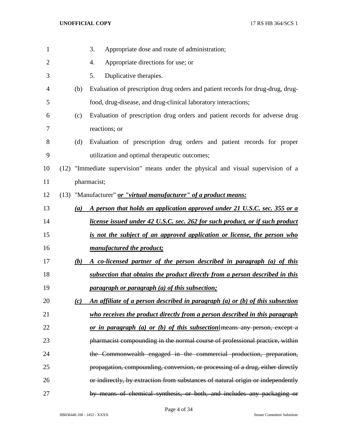| $\mathbf{1}$   |                   | 3.<br>Appropriate dose and route of administration;                               |
|----------------|-------------------|-----------------------------------------------------------------------------------|
| $\overline{c}$ |                   | Appropriate directions for use; or<br>4.                                          |
| 3              |                   | Duplicative therapies.<br>5.                                                      |
| 4              | (b)               | Evaluation of prescription drug orders and patient records for drug-drug, drug-   |
| 5              |                   | food, drug-disease, and drug-clinical laboratory interactions;                    |
| 6              | (c)               | Evaluation of prescription drug orders and patient records for adverse drug       |
| 7              |                   | reactions; or                                                                     |
| 8              | (d)               | Evaluation of prescription drug orders and patient records for proper             |
| 9              |                   | utilization and optimal therapeutic outcomes;                                     |
| 10             |                   | (12) "Immediate supervision" means under the physical and visual supervision of a |
| 11             |                   | pharmacist;                                                                       |
| 12             |                   | (13) "Manufacturer" or "virtual manufacturer" of a product means:                 |
| 13             | (a)               | A person that holds an application approved under 21 U.S.C. sec. 355 or a         |
| 14             |                   | license issued under 42 U.S.C. sec. 262 for such product, or if such product      |
| 15             |                   | is not the subject of an approved application or license, the person who          |
| 16             |                   | manufactured the product;                                                         |
| 17             | (b)               | A co-licensed partner of the person described in paragraph (a) of this            |
| 18             |                   | subsection that obtains the product directly from a person described in this      |
| 19             |                   | <i>paragraph or paragraph (a) of this subsection;</i>                             |
| 20             | $\left( c\right)$ | An affiliate of a person described in paragraph (a) or (b) of this subsection     |
| 21             |                   | who receives the product directly from a person described in this paragraph       |
| 22             |                   | or in paragraph (a) or (b) of this subsection ${[means any person, except a]}$    |
| 23             |                   | pharmacist compounding in the normal course of professional practice, within      |
| 24             |                   | the Commonwealth engaged in the commercial production, preparation,               |
| 25             |                   | propagation, compounding, conversion, or processing of a drug, either directly    |
| 26             |                   | or indirectly, by extraction from substances of natural origin or independently   |
| 27             |                   | by means of chemical synthesis, or both, and includes any packaging or            |

Page 4 of 34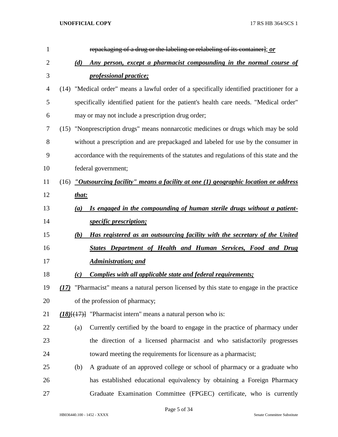| $\mathbf{1}$ | repackaging of a drug or the labeling or relabeling of its container]; or                    |
|--------------|----------------------------------------------------------------------------------------------|
| 2            | Any person, except a pharmacist compounding in the normal course of<br>(d)                   |
| 3            | <i>professional practice;</i>                                                                |
| 4            | (14) "Medical order" means a lawful order of a specifically identified practitioner for a    |
| 5            | specifically identified patient for the patient's health care needs. "Medical order"         |
| 6            | may or may not include a prescription drug order;                                            |
| 7            | "Nonprescription drugs" means nonnarcotic medicines or drugs which may be sold<br>(15)       |
| 8            | without a prescription and are prepackaged and labeled for use by the consumer in            |
| 9            | accordance with the requirements of the statutes and regulations of this state and the       |
| 10           | federal government;                                                                          |
| 11           | "Outsourcing facility" means a facility at one $(1)$ geographic location or address<br>(16)  |
| 12           | that:                                                                                        |
| 13           | Is engaged in the compounding of human sterile drugs without a patient-<br>(a)               |
| 14           | <i>specific prescription;</i>                                                                |
| 15           | Has registered as an outsourcing facility with the secretary of the United<br>(b)            |
| 16           | States Department of Health and Human Services, Food and Drug                                |
| 17           | <b>Administration; and</b>                                                                   |
| 18           | Complies with all applicable state and federal requirements;<br>(c)                          |
| 19           | "Pharmacist" means a natural person licensed by this state to engage in the practice<br>(17) |
| 20           | of the profession of pharmacy;                                                               |
| 21           | $(18)$ { $(17)$ } "Pharmacist intern" means a natural person who is:                         |
| 22           | Currently certified by the board to engage in the practice of pharmacy under<br>(a)          |
| 23           | the direction of a licensed pharmacist and who satisfactorily progresses                     |
| 24           | toward meeting the requirements for licensure as a pharmacist;                               |
| 25           | A graduate of an approved college or school of pharmacy or a graduate who<br>(b)             |
| 26           | has established educational equivalency by obtaining a Foreign Pharmacy                      |
| 27           | Graduate Examination Committee (FPGEC) certificate, who is currently                         |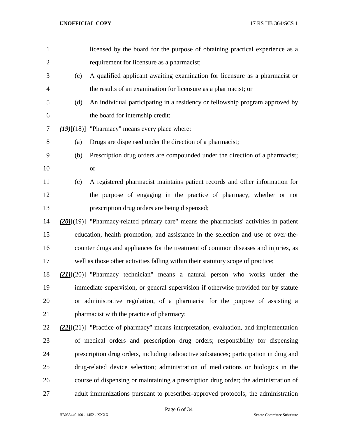| $\mathbf{1}$   |     | licensed by the board for the purpose of obtaining practical experience as a                  |
|----------------|-----|-----------------------------------------------------------------------------------------------|
| $\overline{2}$ |     | requirement for licensure as a pharmacist;                                                    |
| 3              | (c) | A qualified applicant awaiting examination for licensure as a pharmacist or                   |
| $\overline{4}$ |     | the results of an examination for licensure as a pharmacist; or                               |
| 5              | (d) | An individual participating in a residency or fellowship program approved by                  |
| 6              |     | the board for internship credit;                                                              |
| 7              |     | $(19)$ [ $(18)$ ] "Pharmacy" means every place where:                                         |
| 8              | (a) | Drugs are dispensed under the direction of a pharmacist;                                      |
| 9              | (b) | Prescription drug orders are compounded under the direction of a pharmacist;                  |
| 10             |     | <b>or</b>                                                                                     |
| 11             | (c) | A registered pharmacist maintains patient records and other information for                   |
| 12             |     | the purpose of engaging in the practice of pharmacy, whether or not                           |
| 13             |     | prescription drug orders are being dispensed;                                                 |
| 14             |     | $(20)(19)$ ] "Pharmacy-related primary care" means the pharmacists' activities in patient     |
| 15             |     | education, health promotion, and assistance in the selection and use of over-the-             |
| 16             |     | counter drugs and appliances for the treatment of common diseases and injuries, as            |
| 17             |     | well as those other activities falling within their statutory scope of practice;              |
| 18             |     | $(21)$ [ $(20)$ ] "Pharmacy technician" means a natural person who works under the            |
| 19             |     | immediate supervision, or general supervision if otherwise provided for by statute            |
| 20             |     | or administrative regulation, of a pharmacist for the purpose of assisting a                  |
| 21             |     | pharmacist with the practice of pharmacy;                                                     |
| 22             |     | $(22)$ [ $(21)$ ] "Practice of pharmacy" means interpretation, evaluation, and implementation |
| 23             |     | of medical orders and prescription drug orders; responsibility for dispensing                 |
| 24             |     | prescription drug orders, including radioactive substances; participation in drug and         |
| 25             |     | drug-related device selection; administration of medications or biologics in the              |
| 26             |     | course of dispensing or maintaining a prescription drug order; the administration of          |
| 27             |     | adult immunizations pursuant to prescriber-approved protocols; the administration             |

Page 6 of 34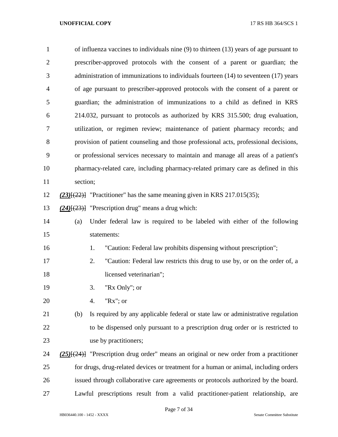| $\mathbf{1}$   | of influenza vaccines to individuals nine (9) to thirteen (13) years of age pursuant to        |  |  |  |
|----------------|------------------------------------------------------------------------------------------------|--|--|--|
| $\overline{2}$ | prescriber-approved protocols with the consent of a parent or guardian; the                    |  |  |  |
| 3              | administration of immunizations to individuals fourteen (14) to seventeen (17) years           |  |  |  |
| $\overline{4}$ | of age pursuant to prescriber-approved protocols with the consent of a parent or               |  |  |  |
| 5              | guardian; the administration of immunizations to a child as defined in KRS                     |  |  |  |
| 6              | 214.032, pursuant to protocols as authorized by KRS 315.500; drug evaluation,                  |  |  |  |
| 7              | utilization, or regimen review; maintenance of patient pharmacy records; and                   |  |  |  |
| 8              | provision of patient counseling and those professional acts, professional decisions,           |  |  |  |
| 9              | or professional services necessary to maintain and manage all areas of a patient's             |  |  |  |
| 10             | pharmacy-related care, including pharmacy-related primary care as defined in this              |  |  |  |
| 11             | section;                                                                                       |  |  |  |
| 12             | $(23)$ [ $(22)$ ] "Practitioner" has the same meaning given in KRS 217.015(35);                |  |  |  |
| 13             | $(24)$ [ $(23)$ ] "Prescription drug" means a drug which:                                      |  |  |  |
| 14             | Under federal law is required to be labeled with either of the following<br>(a)                |  |  |  |
| 15             | statements:                                                                                    |  |  |  |
| 16             | "Caution: Federal law prohibits dispensing without prescription";<br>1.                        |  |  |  |
| 17             | "Caution: Federal law restricts this drug to use by, or on the order of, a<br>2.               |  |  |  |
| 18             | licensed veterinarian";                                                                        |  |  |  |
| 19             | "Rx Only"; or<br>3.                                                                            |  |  |  |
| 20             | " $Rx$ "; or<br>4.                                                                             |  |  |  |
| 21             | Is required by any applicable federal or state law or administrative regulation<br>(b)         |  |  |  |
| 22             | to be dispensed only pursuant to a prescription drug order or is restricted to                 |  |  |  |
| 23             | use by practitioners;                                                                          |  |  |  |
| 24             | $(25)$ [ $(24)$ ] "Prescription drug order" means an original or new order from a practitioner |  |  |  |
| 25             | for drugs, drug-related devices or treatment for a human or animal, including orders           |  |  |  |
| 26             | issued through collaborative care agreements or protocols authorized by the board.             |  |  |  |
| 27             | Lawful prescriptions result from a valid practitioner-patient relationship, are                |  |  |  |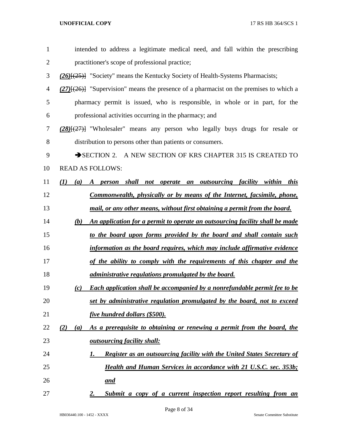| 1              | intended to address a legitimate medical need, and fall within the prescribing                |
|----------------|-----------------------------------------------------------------------------------------------|
| $\overline{2}$ | practitioner's scope of professional practice;                                                |
| 3              | (26) <sup>[(25)]</sup> "Society" means the Kentucky Society of Health-Systems Pharmacists;    |
| 4              | $(27)$ [ $(26)$ ] "Supervision" means the presence of a pharmacist on the premises to which a |
| 5              | pharmacy permit is issued, who is responsible, in whole or in part, for the                   |
| 6              | professional activities occurring in the pharmacy; and                                        |
| 7              | $(28)(27)$ "Wholesaler" means any person who legally buys drugs for resale or                 |
| 8              | distribution to persons other than patients or consumers.                                     |
| 9              | SECTION 2. A NEW SECTION OF KRS CHAPTER 315 IS CREATED TO                                     |
| 10             | <b>READ AS FOLLOWS:</b>                                                                       |
| 11             | A person shall not operate an outsourcing facility within this<br>(I)<br>(a)                  |
| 12             | <u>Commonwealth, physically or by means of the Internet, facsimile, phone,</u>                |
| 13             | mail, or any other means, without first obtaining a permit from the board.                    |
| 14             | An application for a permit to operate an outsourcing facility shall be made<br>(b)           |
| 15             | to the board upon forms provided by the board and shall contain such                          |
| 16             | information as the board requires, which may include affirmative evidence                     |
| 17             | of the ability to comply with the requirements of this chapter and the                        |
| 18             | <i>administrative regulations promulgated by the board.</i>                                   |
| 19             | Each application shall be accompanied by a nonrefundable permit fee to be<br>(c)              |
| 20             | set by administrative regulation promulgated by the board, not to exceed                      |
| 21             | five hundred dollars (\$500).                                                                 |
| 22             | As a prerequisite to obtaining or renewing a permit from the board, the<br>(2)<br>(a)         |
| 23             | <i>outsourcing facility shall:</i>                                                            |
| 24             | Register as an outsourcing facility with the United States Secretary of<br>1.                 |
| 25             | <b>Health and Human Services in accordance with 21 U.S.C. sec. 353b;</b>                      |
| 26             | <u>and</u>                                                                                    |
| 27             | Submit a copy of a current inspection report resulting from an<br>2.                          |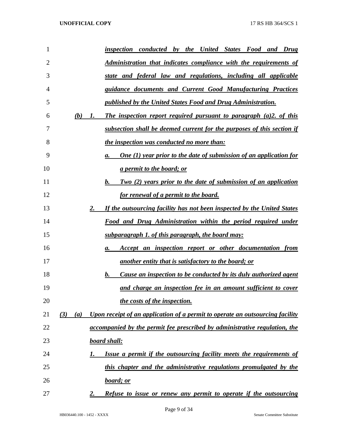| 1  |            | inspection conducted by the United States Food and Drug                         |
|----|------------|---------------------------------------------------------------------------------|
| 2  |            | <u>Administration that indicates compliance with the requirements of</u>        |
| 3  |            | state and federal law and regulations, including all applicable                 |
| 4  |            | guidance documents and Current Good Manufacturing Practices                     |
| 5  |            | published by the United States Food and Drug Administration.                    |
| 6  | (b)<br>1.  | The inspection report required pursuant to paragraph $(a)2$ , of this           |
| 7  |            | subsection shall be deemed current for the purposes of this section if          |
| 8  |            | <i>the inspection was conducted no more than:</i>                               |
| 9  |            | <b>One (1) year prior to the date of submission of an application for</b><br>а. |
| 10 |            | <i>a permit to the board; or</i>                                                |
| 11 |            | Two (2) years prior to the date of submission of an application<br>b.           |
| 12 |            | <u>for renewal of a permit to the board.</u>                                    |
| 13 | 2.         | If the outsourcing facility has not been inspected by the United States         |
| 14 |            | <u>Food and Drug Administration within the period required under</u>            |
| 15 |            | <u>subparagraph 1. of this paragraph, the board may:</u>                        |
| 16 |            | Accept an inspection report or other documentation from<br>а.                   |
| 17 |            | <u>another entity that is satisfactory to the board; or</u>                     |
| 18 |            | Cause an inspection to be conducted by its duly authorized agent<br>b.          |
| 19 |            | and charge an inspection fee in an amount sufficient to cover                   |
| 20 |            | the costs of the inspection.                                                    |
| 21 | (3)<br>(a) | Upon receipt of an application of a permit to operate an outsourcing facility   |
| 22 |            | accompanied by the permit fee prescribed by administrative regulation, the      |
| 23 |            | board shall:                                                                    |
| 24 | I.         | Issue a permit if the outsourcing facility meets the requirements of            |
| 25 |            | this chapter and the administrative regulations promulgated by the              |
| 26 |            | <u>board; or</u>                                                                |
| 27 | 2.         | Refuse to issue or renew any permit to operate if the outsourcing               |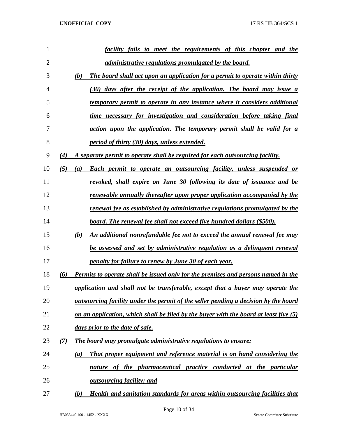| 1              |     | facility fails to meet the requirements of this chapter and the                            |
|----------------|-----|--------------------------------------------------------------------------------------------|
| $\overline{2}$ |     | <i>administrative regulations promulgated by the board.</i>                                |
| 3              |     | (b)<br>The board shall act upon an application for a permit to operate within thirty       |
| 4              |     | (30) days after the receipt of the application. The board may issue a                      |
| 5              |     | temporary permit to operate in any instance where it considers additional                  |
| 6              |     | time necessary for investigation and consideration before taking final                     |
| 7              |     | action upon the application. The temporary permit shall be valid for a                     |
| 8              |     | <i>period of thirty (30) days, unless extended.</i>                                        |
| 9              | (4) | A separate permit to operate shall be required for each outsourcing facility.              |
| 10             | (5) | Each permit to operate an outsourcing facility, unless suspended or<br>(a)                 |
| 11             |     | revoked, shall expire on June 30 following its date of issuance and be                     |
| 12             |     | renewable annually thereafter upon proper application accompanied by the                   |
| 13             |     | renewal fee as established by administrative regulations promulgated by the                |
| 14             |     | board. The renewal fee shall not exceed five hundred dollars (\$500).                      |
| 15             |     | (b)<br>An additional nonrefundable fee not to exceed the annual renewal fee may            |
| 16             |     | be assessed and set by administrative regulation as a delinguent renewal                   |
| 17             |     | penalty for failure to renew by June 30 of each year.                                      |
| 18             | (6) | Permits to operate shall be issued only for the premises and persons named in the          |
| 19             |     | application and shall not be transferable, except that a buyer may operate the             |
| 20             |     | <u>outsourcing facility under the permit of the seller pending a decision by the board</u> |
| 21             |     | on an application, which shall be filed by the buyer with the board at least five $(5)$    |
| 22             |     | days prior to the date of sale.                                                            |
| 23             | (7) | <b>The board may promulgate administrative regulations to ensure:</b>                      |
| 24             |     | That proper equipment and reference material is on hand considering the<br>(a)             |
| 25             |     | nature of the pharmaceutical practice conducted at the particular                          |
| 26             |     | <u>outsourcing facility; and</u>                                                           |
| 27             |     | <b>Health and sanitation standards for areas within outsourcing facilities that</b><br>(b) |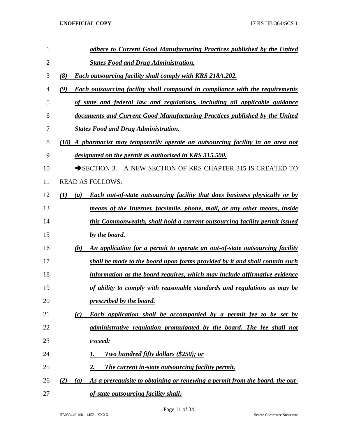| 1              | adhere to Current Good Manufacturing Practices published by the United                          |
|----------------|-------------------------------------------------------------------------------------------------|
| $\overline{2}$ | <b>States Food and Drug Administration.</b>                                                     |
| 3              | (8)<br><b>Each outsourcing facility shall comply with KRS 218A.202.</b>                         |
| 4              | (9)<br><b>Each outsourcing facility shall compound in compliance with the requirements</b>      |
| 5              | of state and federal law and regulations, including all applicable guidance                     |
| 6              | documents and Current Good Manufacturing Practices published by the United                      |
| 7              | <b>States Food and Drug Administration.</b>                                                     |
| 8              | A pharmacist may temporarily operate an outsourcing facility in an area not<br>(10)             |
| 9              | designated on the permit as authorized in KRS 315.500.                                          |
| 10             | $\rightarrow$ SECTION 3.<br>A NEW SECTION OF KRS CHAPTER 315 IS CREATED TO                      |
| 11             | <b>READ AS FOLLOWS:</b>                                                                         |
| 12             | (I)<br><b>Each out-of-state outsourcing facility that does business physically or by</b><br>(a) |
| 13             | means of the Internet, facsimile, phone, mail, or any other means, inside                       |
| 14             | this Commonwealth, shall hold a current outsourcing facility permit issued                      |
| 15             | by the board.                                                                                   |
| 16             | (b)<br>An application for a permit to operate an out-of-state outsourcing facility              |
| 17             | shall be made to the board upon forms provided by it and shall contain such                     |
| 18             | information as the board requires, which may include affirmative evidence                       |
| 19             | of ability to comply with reasonable standards and regulations as may be                        |
| 20             | prescribed by the board.                                                                        |
| 21             | <b>Each application shall be accompanied by a permit fee to be set by</b><br>(c)                |
| 22             | administrative regulation promulgated by the board. The fee shall not                           |
| 23             | exceed:                                                                                         |
| 24             | <u>Two hundred fifty dollars (\$250); or</u><br>1.                                              |
| 25             | 2.<br><b>The current in-state outsourcing facility permit.</b>                                  |
| 26             | As a prerequisite to obtaining or renewing a permit from the board, the out-<br>(2)<br>(a)      |
| 27             | of-state outsourcing facility shall:                                                            |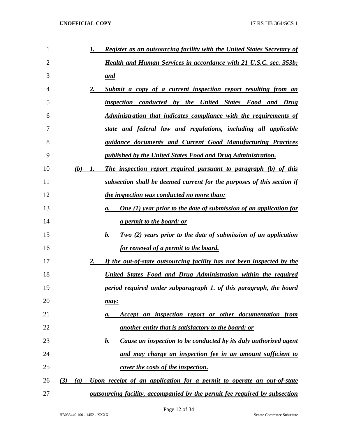| 1  |     |     | 1. | <b>Register as an outsourcing facility with the United States Secretary of</b>    |
|----|-----|-----|----|-----------------------------------------------------------------------------------|
| 2  |     |     |    | <b>Health and Human Services in accordance with 21 U.S.C. sec. 353b;</b>          |
| 3  |     |     |    | and                                                                               |
| 4  |     |     | 2. | Submit a copy of a current inspection report resulting from an                    |
| 5  |     |     |    | inspection conducted by the United States Food and Drug                           |
| 6  |     |     |    | <b>Administration that indicates compliance with the requirements of</b>          |
| 7  |     |     |    | state and federal law and regulations, including all applicable                   |
| 8  |     |     |    | guidance documents and Current Good Manufacturing Practices                       |
| 9  |     |     |    | published by the United States Food and Drug Administration.                      |
| 10 |     | (b) | 1. | The inspection report required pursuant to paragraph (b) of this                  |
| 11 |     |     |    | subsection shall be deemed current for the purposes of this section if            |
| 12 |     |     |    | <i>the inspection was conducted no more than:</i>                                 |
| 13 |     |     |    | <b>One (1) year prior to the date of submission of an application for</b><br>а.   |
| 14 |     |     |    | <u>a permit to the board; or</u>                                                  |
| 15 |     |     |    | b.<br><b>Two (2) years prior to the date of submission of an application</b>      |
| 16 |     |     |    | <u>for renewal of a permit to the board.</u>                                      |
| 17 |     |     | 2. | If the out-of-state outsourcing facility has not been inspected by the            |
| 18 |     |     |    | United States Food and Drug Administration within the required                    |
| 19 |     |     |    | period required under subparagraph 1. of this paragraph, the board                |
| 20 |     |     |    | may:                                                                              |
| 21 |     |     |    | Accept an inspection report or other documentation from<br>а.                     |
| 22 |     |     |    | another entity that is satisfactory to the board; or                              |
| 23 |     |     |    | Cause an inspection to be conducted by its duly authorized agent<br>b.            |
| 24 |     |     |    | and may charge an inspection fee in an amount sufficient to                       |
| 25 |     |     |    | <u>cover the costs of the inspection.</u>                                         |
| 26 | (3) | (a) |    | Upon receipt of an application for a permit to operate an out-of-state            |
| 27 |     |     |    | <u>outsourcing facility, accompanied by the permit fee required by subsection</u> |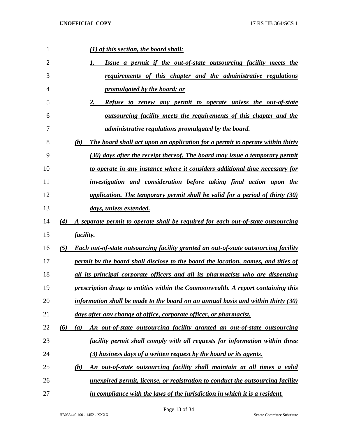| 1  | $(1)$ of this section, the board shall:                                                           |
|----|---------------------------------------------------------------------------------------------------|
| 2  | Issue a permit if the out-of-state outsourcing facility meets the                                 |
| 3  | requirements of this chapter and the administrative regulations                                   |
| 4  | promulgated by the board; or                                                                      |
| 5  | 2.<br><b>Refuse to renew any permit to operate unless the out-of-state</b>                        |
| 6  | <u>outsourcing facility meets the requirements of this chapter and the</u>                        |
| 7  | <i>administrative regulations promulgated by the board.</i>                                       |
| 8  | The board shall act upon an application for a permit to operate within thirty<br>(b)              |
| 9  | (30) days after the receipt thereof. The board may issue a temporary permit                       |
| 10 | to operate in any instance where it considers additional time necessary for                       |
| 11 | investigation and consideration before taking final action upon the                               |
| 12 | application. The temporary permit shall be valid for a period of thirty (30)                      |
| 13 | days, unless extended.                                                                            |
| 14 | A separate permit to operate shall be required for each out-of-state outsourcing<br>(4)           |
| 15 | <i>facility.</i>                                                                                  |
| 16 | <b>Each out-of-state outsourcing facility granted an out-of-state outsourcing facility</b><br>(5) |
| 17 | permit by the board shall disclose to the board the location, names, and titles of                |
| 18 | all its principal corporate officers and all its pharmacists who are dispensing                   |
| 19 | prescription drugs to entities within the Commonwealth. A report containing this                  |
| 20 | information shall be made to the board on an annual basis and within thirty $(30)$                |
| 21 | days after any change of office, corporate officer, or pharmacist.                                |
| 22 | An out-of-state outsourcing facility granted an out-of-state outsourcing<br>(6)<br>(a)            |
| 23 | facility permit shall comply with all requests for information within three                       |
| 24 | (3) business days of a written request by the board or its agents.                                |
| 25 | An out-of-state outsourcing facility shall maintain at all times a valid<br>(b)                   |
| 26 | unexpired permit, license, or registration to conduct the outsourcing facility                    |
| 27 | in compliance with the laws of the jurisdiction in which it is a resident.                        |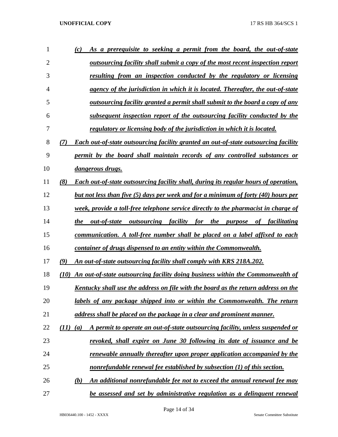| 1              | As a prerequisite to seeking a permit from the board, the out-of-state<br>(c)                          |
|----------------|--------------------------------------------------------------------------------------------------------|
| $\overline{2}$ | <u>outsourcing facility shall submit a copy of the most recent inspection report</u>                   |
| 3              | resulting from an inspection conducted by the regulatory or licensing                                  |
| 4              | agency of the jurisdiction in which it is located. Thereafter, the out-of-state                        |
| 5              | <u>outsourcing facility granted a permit shall submit to the board a copy of any</u>                   |
| 6              | subsequent inspection report of the outsourcing facility conducted by the                              |
| 7              | regulatory or licensing body of the jurisdiction in which it is located.                               |
| 8              | <b>Each out-of-state outsourcing facility granted an out-of-state outsourcing facility</b><br>(7)      |
| 9              | permit by the board shall maintain records of any controlled substances or                             |
| 10             | <i>dangerous drugs.</i>                                                                                |
| 11             | (8)<br><b>Each out-of-state outsourcing facility shall, during its regular hours of operation,</b>     |
| 12             | but not less than five (5) days per week and for a minimum of forty (40) hours per                     |
| 13             | week, provide a toll-free telephone service directly to the pharmacist in charge of                    |
| 14             | <i>outsourcing facility for the</i><br><i>the</i><br>out-of-state<br><i>purpose</i> of<br>facilitating |
| 15             | communication. A toll-free number shall be placed on a label affixed to each                           |
| 16             | container of drugs dispensed to an entity within the Commonwealth.                                     |
| 17             | (9)<br>An out-of-state outsourcing facility shall comply with KRS 218A.202.                            |
| 18             | An out-of-state outsourcing facility doing business within the Commonwealth of<br>(10)                 |
| 19             | Kentucky shall use the address on file with the board as the return address on the                     |
| 20             | labels of any package shipped into or within the Commonwealth. The return                              |
| 21             | address shall be placed on the package in a clear and prominent manner.                                |
| 22             | A permit to operate an out-of-state outsourcing facility, unless suspended or<br>(11)<br>(a)           |
| 23             | revoked, shall expire on June 30 following its date of issuance and be                                 |
| 24             | <u>renewable annually thereafter upon proper application accompanied by the</u>                        |
| 25             | nonrefundable renewal fee established by subsection (1) of this section.                               |
| 26             | An additional nonrefundable fee not to exceed the annual renewal fee may<br>(b)                        |
| 27             | be assessed and set by administrative regulation as a delinguent renewal                               |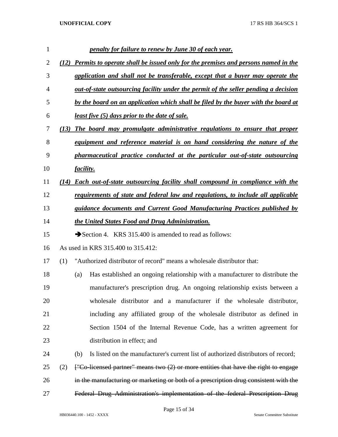| $\mathbf{1}$   |      |                  | penalty for failure to renew by June 30 of each year.                                      |
|----------------|------|------------------|--------------------------------------------------------------------------------------------|
| $\overline{c}$ | (12) |                  | <b>Permits to operate shall be issued only for the premises and persons named in the</b>   |
| 3              |      |                  | application and shall not be transferable, except that a buyer may operate the             |
| 4              |      |                  | <u>out-of-state outsourcing facility under the permit of the seller pending a decision</u> |
| 5              |      |                  | by the board on an application which shall be filed by the buyer with the board at         |
| 6              |      |                  | <u>least five (5) days prior to the date of sale.</u>                                      |
| 7              | (13) |                  | The board may promulgate administrative regulations to ensure that proper                  |
| 8              |      |                  | equipment and reference material is on hand considering the nature of the                  |
| 9              |      |                  | pharmaceutical practice conducted at the particular out-of-state outsourcing               |
| 10             |      | <i>facility.</i> |                                                                                            |
| 11             | (14) |                  | <b>Each out-of-state outsourcing facility shall compound in compliance with the</b>        |
| 12             |      |                  | requirements of state and federal law and regulations, to include all applicable           |
| 13             |      |                  | guidance documents and Current Good Manufacturing Practices published by                   |
| 14             |      |                  | the United States Food and Drug Administration.                                            |
| 15             |      |                  | Section 4. KRS 315.400 is amended to read as follows:                                      |
| 16             |      |                  | As used in KRS 315.400 to 315.412:                                                         |
| 17             | (1)  |                  | "Authorized distributor of record" means a wholesale distributor that:                     |
| 18             |      | (a)              | Has established an ongoing relationship with a manufacturer to distribute the              |
| 19             |      |                  | manufacturer's prescription drug. An ongoing relationship exists between a                 |
| 20             |      |                  | wholesale distributor and a manufacturer if the wholesale distributor,                     |
| 21             |      |                  | including any affiliated group of the wholesale distributor as defined in                  |
| 22             |      |                  | Section 1504 of the Internal Revenue Code, has a written agreement for                     |
| 23             |      |                  | distribution in effect; and                                                                |
| 24             |      | (b)              | Is listed on the manufacturer's current list of authorized distributors of record;         |
| 25             | (2)  |                  | $[$ "Co-licensed partner" means two $(2)$ or more entities that have the right to engage   |
| 26             |      |                  | in the manufacturing or marketing or both of a prescription drug consistent with the       |
| 27             |      |                  | Federal Drug Administration's implementation of the federal Prescription Drug              |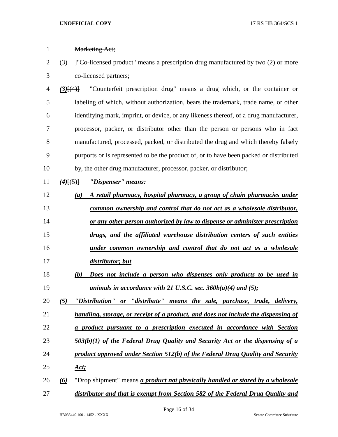| $\mathbf{1}$   | <b>Marketing Act;</b>                                                                                            |
|----------------|------------------------------------------------------------------------------------------------------------------|
| $\overline{2}$ | $\overline{(3)}$ - T <sup>o</sup> Co-licensed product" means a prescription drug manufactured by two (2) or more |
| 3              | co-licensed partners;                                                                                            |
| $\overline{4}$ | "Counterfeit prescription drug" means a drug which, or the container or<br>$(3)$ [ $(4)$ ]                       |
| 5              | labeling of which, without authorization, bears the trademark, trade name, or other                              |
| 6              | identifying mark, imprint, or device, or any likeness thereof, of a drug manufacturer,                           |
| 7              | processor, packer, or distributor other than the person or persons who in fact                                   |
| 8              | manufactured, processed, packed, or distributed the drug and which thereby falsely                               |
| 9              | purports or is represented to be the product of, or to have been packed or distributed                           |
| 10             | by, the other drug manufacturer, processor, packer, or distributor;                                              |
| 11             | "Dispenser" means:<br>$(4)$ [(5)]                                                                                |
| 12             | A retail pharmacy, hospital pharmacy, a group of chain pharmacies under<br>$\left( a\right)$                     |
| 13             | common ownership and control that do not act as a wholesale distributor,                                         |
| 14             | or any other person authorized by law to dispense or administer prescription                                     |
| 15             | drugs, and the affiliated warehouse distribution centers of such entities                                        |
| 16             | under common ownership and control that do not act as a wholesale                                                |
| 17             | distributor; but                                                                                                 |
| 18             | Does not include a person who dispenses only products to be used in<br>(b)                                       |
| 19             | animals in accordance with 21 U.S.C. sec. $360b(a)(4)$ and $(5)$ ;                                               |
| 20             | "Distribution" or "distribute" means the sale, purchase, trade, delivery,<br>(5)                                 |
| 21             | handling, storage, or receipt of a product, and does not include the dispensing of                               |
| 22             | a product pursuant to a prescription executed in accordance with Section                                         |
| 23             | $503(b)(1)$ of the Federal Drug Quality and Security Act or the dispensing of a                                  |
| 24             | product approved under Section 512(b) of the Federal Drug Quality and Security                                   |
| 25             | Act:                                                                                                             |
| 26             | "Drop shipment" means <i>a product not physically handled or stored by a wholesale</i><br>$\omega$               |
| 27             | distributor and that is exempt from Section 582 of the Federal Drug Quality and                                  |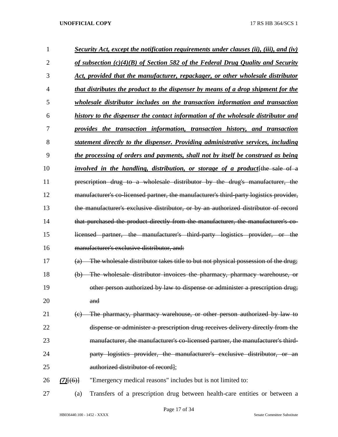| 1              |             | <b>Security Act, except the notification requirements under clauses (ii), (iii), and (iv)</b>       |
|----------------|-------------|-----------------------------------------------------------------------------------------------------|
| $\overline{2}$ |             | <u>of subsection <math>(c)(4)(B)</math> of Section 582 of the Federal Drug Quality and Security</u> |
| 3              |             | Act, provided that the manufacturer, repackager, or other wholesale distributor                     |
| $\overline{4}$ |             | that distributes the product to the dispenser by means of a drop shipment for the                   |
| 5              |             | wholesale distributor includes on the transaction information and transaction                       |
| 6              |             | history to the dispenser the contact information of the wholesale distributor and                   |
| 7              |             | provides the transaction information, transaction history, and transaction                          |
| 8              |             | statement directly to the dispenser. Providing administrative services, including                   |
| 9              |             | the processing of orders and payments, shall not by itself be construed as being                    |
| 10             |             | <i>involved in the handling, distribution, or storage of a product</i> [the sale of a               |
| 11             |             | prescription drug to a wholesale distributor by the drug's manufacturer, the                        |
| 12             |             | manufacturer's co-licensed partner, the manufacturer's third-party logistics provider,              |
| 13             |             | the manufacturer's exclusive distributor, or by an authorized distributor of record                 |
| 14             |             | that purchased the product directly from the manufacturer, the manufacturer's co-                   |
| 15             |             | licensed partner, the manufacturer's third-party logistics provider, or the                         |
| 16             |             | manufacturer's exclusive distributor, and:                                                          |
| 17             | (a)         | The wholesale distributor takes title to but not physical possession of the drug;                   |
| 18             | $\Theta$    | The wholesale distributor invoices the pharmacy, pharmacy warehouse, or                             |
| 19             |             | other person authorized by law to dispense or administer a prescription drug;                       |
| 20             |             | and                                                                                                 |
| 21             | (e)         | The pharmacy, pharmacy warehouse, or other person authorized by law to                              |
| 22             |             | dispense or administer a prescription drug receives delivery directly from the                      |
| 23             |             | manufacturer, the manufacturer's co-licensed partner, the manufacturer's third-                     |
| 24             |             | party logistics provider, the manufacturer's exclusive distributor, or an                           |
| 25             |             | authorized distributor of record];                                                                  |
| 26             | $(7)$ [(6)] | "Emergency medical reasons" includes but is not limited to:                                         |
| 27             | (a)         | Transfers of a prescription drug between health-care entities or between a                          |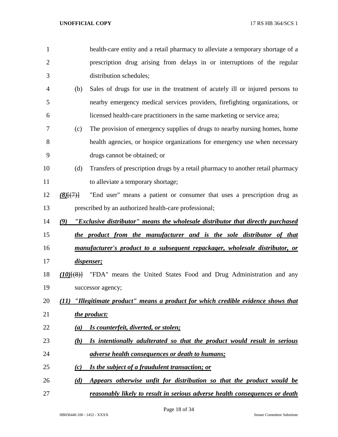| 1              |                                | health-care entity and a retail pharmacy to alleviate a temporary shortage of a |
|----------------|--------------------------------|---------------------------------------------------------------------------------|
| $\overline{2}$ |                                | prescription drug arising from delays in or interruptions of the regular        |
| 3              |                                | distribution schedules;                                                         |
| 4              | (b)                            | Sales of drugs for use in the treatment of acutely ill or injured persons to    |
| 5              |                                | nearby emergency medical services providers, firefighting organizations, or     |
| 6              |                                | licensed health-care practitioners in the same marketing or service area;       |
| 7              | (c)                            | The provision of emergency supplies of drugs to nearby nursing homes, home      |
| 8              |                                | health agencies, or hospice organizations for emergency use when necessary      |
| 9              |                                | drugs cannot be obtained; or                                                    |
| 10             | (d)                            | Transfers of prescription drugs by a retail pharmacy to another retail pharmacy |
| 11             |                                | to alleviate a temporary shortage;                                              |
| 12             | $(8)$ $\{$ <sup>(7)</sup> $\}$ | "End user" means a patient or consumer that uses a prescription drug as         |
| 13             |                                | prescribed by an authorized health-care professional;                           |
| 14             | (9)                            | "Exclusive distributor" means the wholesale distributor that directly purchased |
| 15             |                                | the product from the manufacturer and is the sole distributor of that           |
| 16             |                                | manufacturer's product to a subsequent repackager, wholesale distributor, or    |
| 17             |                                | dispenser;                                                                      |
| 18             | $(10)$ $(8)$ }                 | "FDA" means the United States Food and Drug Administration and any              |
| 19             |                                | successor agency;                                                               |
| 20             | (11)                           | "Illegitimate product" means a product for which credible evidence shows that   |
| 21             |                                | the product:                                                                    |
| 22             | (a)                            | Is counterfeit, diverted, or stolen;                                            |
| 23             | (b)                            | Is intentionally adulterated so that the product would result in serious        |
| 24             |                                | adverse health consequences or death to humans;                                 |
| 25             | (c)                            | Is the subject of a fraudulent transaction; or                                  |
| 26             | (d)                            | Appears otherwise unfit for distribution so that the product would be           |
| 27             |                                | reasonably likely to result in serious adverse health consequences or death     |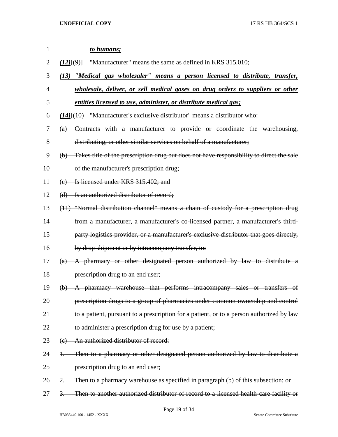| 1  | to humans;                                                                                              |
|----|---------------------------------------------------------------------------------------------------------|
| 2  | "Manufacturer" means the same as defined in KRS 315.010;<br>(12)(9)                                     |
| 3  | "Medical gas wholesaler" means a person licensed to distribute, transfer,<br>(13)                       |
| 4  | wholesale, deliver, or sell medical gases on drug orders to suppliers or other                          |
| 5  | entities licensed to use, administer, or distribute medical gas;                                        |
| 6  | $(14)$ [ $(10)$ "Manufacturer's exclusive distributor" means a distributor who:                         |
| 7  | Contracts with a manufacturer to provide or coordinate the warehousing,<br>$\left(\mathrm{a}\right)$    |
| 8  | distributing, or other similar services on behalf of a manufacturer;                                    |
| 9  | Takes title of the prescription drug but does not have responsibility to direct the sale<br>$\bigoplus$ |
| 10 | of the manufacturer's prescription drug;                                                                |
| 11 | (e) Is licensed under KRS 315.402; and                                                                  |
| 12 | (d) Is an authorized distributor of record;                                                             |
| 13 | (11) "Normal distribution channel" means a chain of custody for a prescription drug                     |
| 14 | from a manufacturer, a manufacturer's co-licensed partner, a manufacturer's third-                      |
| 15 | party logistics provider, or a manufacturer's exclusive distributor that goes directly,                 |
| 16 | by drop shipment or by intracompany transfer, to:                                                       |
| 17 | A pharmacy or other designated person authorized by law to distribute a<br>(a)                          |
| 18 | prescription drug to an end user;                                                                       |
| 19 | (b) A pharmacy warehouse that performs intracompany sales or transfers of                               |
| 20 | prescription drugs to a group of pharmacies under common ownership and control                          |
| 21 | to a patient, pursuant to a prescription for a patient, or to a person authorized by law                |
| 22 | to administer a prescription drug for use by a patient;                                                 |
| 23 | An authorized distributor of record:<br>(e)                                                             |
| 24 | Then to a pharmacy or other designated person authorized by law to distribute a<br>Ŧ.                   |
| 25 | prescription drug to an end user;                                                                       |
| 26 | Then to a pharmacy warehouse as specified in paragraph (b) of this subsection; or                       |
| 27 | Then to another authorized distributor of record to a licensed health-care facility or<br>3.            |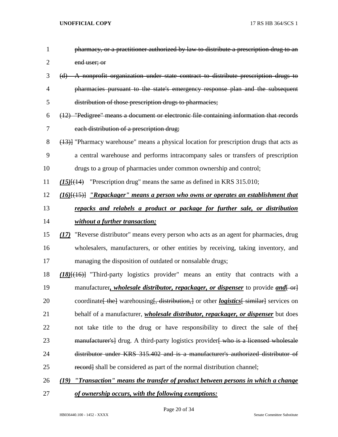| 1              | pharmacy, or a practitioner authorized by law to distribute a prescription drug to an                                |
|----------------|----------------------------------------------------------------------------------------------------------------------|
| $\overline{2}$ | end user; or                                                                                                         |
| 3              | (d) A nonprofit organization under state contract to distribute prescription drugs to                                |
| 4              | pharmacies pursuant to the state's emergency response plan and the subsequent                                        |
| 5              | distribution of those prescription drugs to pharmacies;                                                              |
| 6              | (12) "Pedigree" means a document or electronic file containing information that records                              |
| 7              | each distribution of a prescription drug;                                                                            |
| 8              | (13)] "Pharmacy warehouse" means a physical location for prescription drugs that acts as                             |
| 9              | a central warehouse and performs intracompany sales or transfers of prescription                                     |
| 10             | drugs to a group of pharmacies under common ownership and control;                                                   |
| 11             | $(15)$ [ $(14)$ "Prescription drug" means the same as defined in KRS 315.010;                                        |
| 12             | $(16)$ [ $(15)$ ] "Repackager" means a person who owns or operates an establishment that                             |
| 13             | repacks and relabels a product or package for further sale, or distribution                                          |
| 14             | without a further transaction;                                                                                       |
| 15             | (17) "Reverse distributor" means every person who acts as an agent for pharmacies, drug                              |
| 16             | wholesalers, manufacturers, or other entities by receiving, taking inventory, and                                    |
| 17             | managing the disposition of outdated or nonsalable drugs;                                                            |
| 18             | $(18)$ [ $(16)$ ] "Third-party logistics provider" means an entity that contracts with a                             |
| 19             | manufacturer, <i>wholesale distributor, repackager, or dispenser</i> to provide <i>and</i> $\left\{\text{-}\right\}$ |
| 20             | coordinate the warehousing the distribution, or other <i>logistics</i> similarly services on                         |
| 21             | behalf of a manufacturer, <i>wholesale distributor</i> , <i>repackager</i> , <i>or dispenser</i> but does            |
| 22             | not take title to the drug or have responsibility to direct the sale of the                                          |
| 23             | manufacturer's drug. A third-party logistics provider who is a licensed wholesale                                    |
| 24             | distributor under KRS 315.402 and is a manufacturer's authorized distributor of                                      |
| 25             | record shall be considered as part of the normal distribution channel;                                               |
| 26             | "Transaction" means the transfer of product between persons in which a change<br>(19)                                |
| 27             | of ownership occurs, with the following exemptions:                                                                  |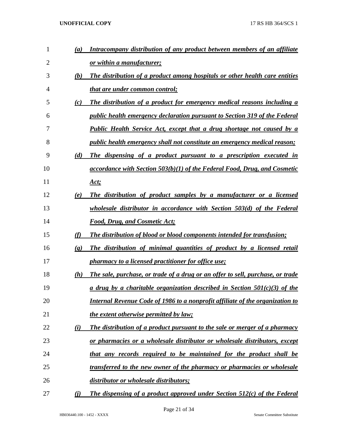| $\mathbf{1}$   | (a)                         | Intracompany distribution of any product between members of an affiliate             |
|----------------|-----------------------------|--------------------------------------------------------------------------------------|
| $\overline{2}$ |                             | or within a manufacturer;                                                            |
| 3              | (b)                         | The distribution of a product among hospitals or other health care entities          |
| 4              |                             | <u>that are under common control;</u>                                                |
| 5              | (c)                         | The distribution of a product for emergency medical reasons including a              |
| 6              |                             | <u>public health emergency declaration pursuant to Section 319 of the Federal</u>    |
| 7              |                             | <b>Public Health Service Act, except that a drug shortage not caused by a</b>        |
| 8              |                             | <i>public health emergency shall not constitute an emergency medical reason;</i>     |
| 9              | (d)                         | The dispensing of a product pursuant to a prescription executed in                   |
| 10             |                             | accordance with Section 503(b)(1) of the Federal Food, Drug, and Cosmetic            |
| 11             |                             | <u>Act;</u>                                                                          |
| 12             | (e)                         | The distribution of product samples by a manufacturer or a licensed                  |
| 13             |                             | wholesale distributor in accordance with Section 503(d) of the Federal               |
| 14             |                             | <b>Food, Drug, and Cosmetic Act;</b>                                                 |
| 15             | (f)                         | <b>The distribution of blood or blood components intended for transfusion;</b>       |
| 16             | $\left( \mathbf{g} \right)$ | The distribution of minimal quantities of product by a licensed retail               |
| 17             |                             | pharmacy to a licensed practitioner for office use;                                  |
| 18             | (h)                         | The sale, purchase, or trade of a drug or an offer to sell, purchase, or trade       |
| 19             |                             |                                                                                      |
|                |                             | a drug by a charitable organization described in Section $50I(c)(3)$ of the          |
| 20             |                             | <b>Internal Revenue Code of 1986 to a nonprofit affiliate of the organization to</b> |
| 21             |                             | <i>the extent otherwise permitted by law;</i>                                        |
| 22             | (i)                         | The distribution of a product pursuant to the sale or merger of a pharmacy           |
| 23             |                             | or pharmacies or a wholesale distributor or wholesale distributors, except           |
| 24             |                             | that any records required to be maintained for the product shall be                  |
| 25             |                             | transferred to the new owner of the pharmacy or pharmacies or wholesale              |
| 26             |                             | distributor or wholesale distributors;                                               |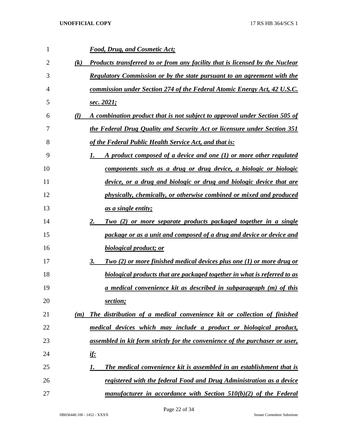| 1  |                   | <b>Food, Drug, and Cosmetic Act;</b>                                           |
|----|-------------------|--------------------------------------------------------------------------------|
| 2  | $\left( k\right)$ | Products transferred to or from any facility that is licensed by the Nuclear   |
| 3  |                   | <b>Regulatory Commission or by the state pursuant to an agreement with the</b> |
| 4  |                   | commission under Section 274 of the Federal Atomic Energy Act, 42 U.S.C.       |
| 5  |                   | <u>sec. 2021;</u>                                                              |
| 6  | (l)               | A combination product that is not subject to approval under Section 505 of     |
| 7  |                   | the Federal Drug Quality and Security Act or licensure under Section 351       |
| 8  |                   | of the Federal Public Health Service Act, and that is:                         |
| 9  |                   | A product composed of a device and one $(1)$ or more other regulated           |
| 10 |                   | components such as a drug or drug device, a biologic or biologic               |
| 11 |                   | device, or a drug and biologic or drug and biologic device that are            |
| 12 |                   | physically, chemically, or otherwise combined or mixed and produced            |
| 13 |                   | as a single entity;                                                            |
| 14 |                   | Two (2) or more separate products packaged together in a single<br>2.          |
| 15 |                   | package or as a unit and composed of a drug and device or device and           |
| 16 |                   | biological product; or                                                         |
| 17 |                   | Two (2) or more finished medical devices plus one (1) or more drug or<br>3.    |
| 18 |                   | biological products that are packaged together in what is referred to as       |
| 19 |                   | <u>a medical convenience kit as described in subparagraph (m) of this</u>      |
| 20 |                   | section;                                                                       |
| 21 | (m)               | The distribution of a medical convenience kit or collection of finished        |
| 22 |                   | medical devices which may include a product or biological product,             |
| 23 |                   | assembled in kit form strictly for the convenience of the purchaser or user,   |
| 24 |                   | <u>if:</u>                                                                     |
| 25 |                   | The medical convenience kit is assembled in an establishment that is<br>1.     |
| 26 |                   | registered with the federal Food and Drug Administration as a device           |
| 27 |                   | manufacturer in accordance with Section $510(b)(2)$ of the Federal             |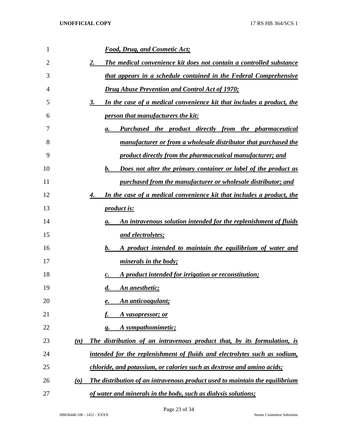| 1  | <b>Food, Drug, and Cosmetic Act;</b>                                                                 |
|----|------------------------------------------------------------------------------------------------------|
| 2  | The medical convenience kit does not contain a controlled substance<br><u>2.</u>                     |
| 3  | that appears in a schedule contained in the Federal Comprehensive                                    |
| 4  | <b>Drug Abuse Prevention and Control Act of 1970;</b>                                                |
| 5  | In the case of a medical convenience kit that includes a product, the<br>3.                          |
| 6  | <i><u><b>person that manufacturers the kit:</b></u></i>                                              |
| 7  | <b>Purchased the product directly from the pharmaceutical</b><br><b>a.</b>                           |
| 8  | manufacturer or from a wholesale distributor that purchased the                                      |
| 9  | product directly from the pharmaceutical manufacturer; and                                           |
| 10 | Does not alter the primary container or label of the product as<br>$\mathbf{b}$ .                    |
| 11 | purchased from the manufacturer or wholesale distributor; and                                        |
| 12 | In the case of a medical convenience kit that includes a product, the<br>4.                          |
| 13 | <i>product is:</i>                                                                                   |
| 14 | An intravenous solution intended for the replenishment of fluids<br>а.                               |
| 15 | <u>and electrolytes;</u>                                                                             |
| 16 | A product intended to maintain the equilibrium of water and<br>$b_{\cdot\cdot\cdot}$                 |
| 17 | minerals in the body;                                                                                |
| 18 | A product intended for irrigation or reconstitution;                                                 |
| 19 | An anesthetic;<br>$\boldsymbol{d.}$                                                                  |
| 20 | An anticoagulant;<br>e.                                                                              |
| 21 | A vasopressor; or                                                                                    |
| 22 | A sympathomimetic;<br>g.                                                                             |
| 23 | The distribution of an intravenous product that, by its formulation, is<br>(n)                       |
| 24 | intended for the replenishment of fluids and electrolytes such as sodium,                            |
| 25 | chloride, and potassium, or calories such as dextrose and amino acids;                               |
| 26 | The distribution of an intravenous product used to maintain the equilibrium<br>$\boldsymbol{\omega}$ |
| 27 | of water and minerals in the body, such as dialysis solutions;                                       |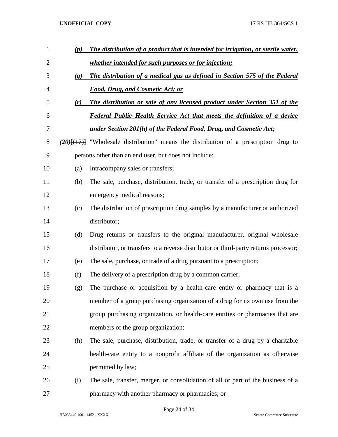| 1              | (p)                       | The distribution of a product that is intended for irrigation, or sterile water,            |
|----------------|---------------------------|---------------------------------------------------------------------------------------------|
| $\overline{2}$ |                           | whether intended for such purposes or for injection;                                        |
| 3              | $\left(\mathbf{q}\right)$ | The distribution of a medical gas as defined in Section 575 of the Federal                  |
| 4              |                           | <b>Food, Drug, and Cosmetic Act; or</b>                                                     |
| 5              | (r)                       | The distribution or sale of any licensed product under Section 351 of the                   |
| 6              |                           | <b>Federal Public Health Service Act that meets the definition of a device</b>              |
| 7              |                           | <u>under Section 201(h) of the Federal Food, Drug, and Cosmetic Act;</u>                    |
| 8              |                           | $(20)$ [ $(17)$ ] "Wholesale distribution" means the distribution of a prescription drug to |
| 9              |                           | persons other than an end user, but does not include:                                       |
| 10             | (a)                       | Intracompany sales or transfers;                                                            |
| 11             | (b)                       | The sale, purchase, distribution, trade, or transfer of a prescription drug for             |
| 12             |                           | emergency medical reasons;                                                                  |
| 13             | (c)                       | The distribution of prescription drug samples by a manufacturer or authorized               |
| 14             |                           | distributor;                                                                                |
| 15             | (d)                       | Drug returns or transfers to the original manufacturer, original wholesale                  |
| 16             |                           | distributor, or transfers to a reverse distributor or third-party returns processor;        |
| 17             | (e)                       | The sale, purchase, or trade of a drug pursuant to a prescription;                          |
| 18             | (f)                       | The delivery of a prescription drug by a common carrier;                                    |
| 19             | (g)                       | The purchase or acquisition by a health-care entity or pharmacy that is a                   |
| 20             |                           | member of a group purchasing organization of a drug for its own use from the                |
| 21             |                           | group purchasing organization, or health-care entities or pharmacies that are               |
| 22             |                           | members of the group organization;                                                          |
| 23             | (h)                       | The sale, purchase, distribution, trade, or transfer of a drug by a charitable              |
| 24             |                           | health-care entity to a nonprofit affiliate of the organization as otherwise                |
| 25             |                           | permitted by law;                                                                           |
| 26             | (i)                       | The sale, transfer, merger, or consolidation of all or part of the business of a            |
| 27             |                           | pharmacy with another pharmacy or pharmacies; or                                            |

Page 24 of 34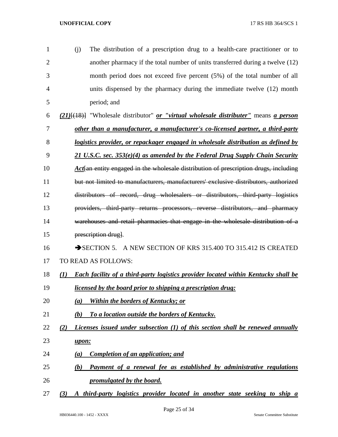| $\mathbf{1}$   | (i)              | The distribution of a prescription drug to a health-care practitioner or to                                    |
|----------------|------------------|----------------------------------------------------------------------------------------------------------------|
| $\overline{2}$ |                  | another pharmacy if the total number of units transferred during a twelve (12)                                 |
| 3              |                  | month period does not exceed five percent (5%) of the total number of all                                      |
| 4              |                  | units dispensed by the pharmacy during the immediate twelve (12) month                                         |
| 5              |                  | period; and                                                                                                    |
| 6              |                  | (21) <sup>[(18)]</sup> "Wholesale distributor" <i>or "virtual wholesale distributer"</i> means <i>a person</i> |
| 7              |                  | other than a manufacturer, a manufacturer's co-licensed partner, a third-party                                 |
| 8              |                  | <u>logistics provider, or repackager engaged in wholesale distribution as defined by</u>                       |
| 9              |                  | 21 U.S.C. sec. $353(e)(4)$ as amended by the Federal Drug Supply Chain Security                                |
| 10             |                  | Act an entity engaged in the wholesale distribution of prescription drugs, including                           |
| 11             |                  | but not limited to manufacturers, manufacturers' exclusive distributors, authorized                            |
| 12             |                  | distributors of record, drug wholesalers or distributors, third party logistics                                |
| 13             |                  | providers, third party returns processors, reverse distributors, and pharmacy                                  |
| 14             |                  | warehouses and retail pharmacies that engage in the wholesale distribution of a                                |
| 15             |                  | prescription drug].                                                                                            |
| 16             |                  | SECTION 5. A NEW SECTION OF KRS 315.400 TO 315.412 IS CREATED                                                  |
| 17             |                  | <b>TO READ AS FOLLOWS:</b>                                                                                     |
| 18             | $\mathcal{L}(I)$ | <b>Each facility of a third-party logistics provider located within Kentucky shall be</b>                      |
| 19             |                  | <i>licensed by the board prior to shipping a prescription drug:</i>                                            |
| 20             | (a)              | <b>Within the borders of Kentucky; or</b>                                                                      |
| 21             | (b)              | To a location outside the borders of Kentucky.                                                                 |
| 22             | (2)              | Licenses issued under subsection (1) of this section shall be renewed annually                                 |
| 23             | upon:            |                                                                                                                |
| 24             | (a)              | <b>Completion of an application; and</b>                                                                       |
| 25             | (b)              | Payment of a renewal fee as established by administrative regulations                                          |
| 26             |                  | promulgated by the board.                                                                                      |
|                |                  |                                                                                                                |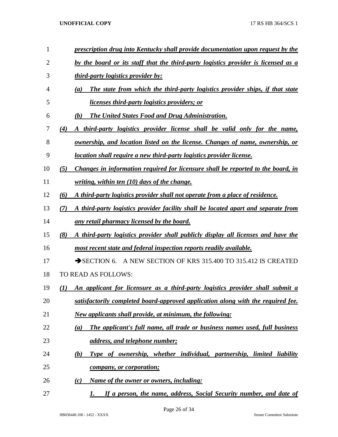| 1  | prescription drug into Kentucky shall provide documentation upon request by the           |
|----|-------------------------------------------------------------------------------------------|
| 2  | by the board or its staff that the third-party logistics provider is licensed as a        |
| 3  | <i>third-party logistics provider by:</i>                                                 |
| 4  | The state from which the third-party logistics provider ships, if that state<br>(a)       |
| 5  | <u>licenses third-party logistics providers; or</u>                                       |
| 6  | <b>The United States Food and Drug Administration.</b><br>(b)                             |
| 7  | A third-party logistics provider license shall be valid only for the name,<br>(4)         |
| 8  | <u>ownership, and location listed on the license. Changes of name, ownership, or</u>      |
| 9  | location shall require a new third-party logistics provider license.                      |
| 10 | Changes in information required for licensure shall be reported to the board, in<br>(5)   |
| 11 | <u>writing, within ten (10) days of the change.</u>                                       |
| 12 | A third-party logistics provider shall not operate from a place of residence.<br>(6)      |
| 13 | A third-party logistics provider facility shall be located apart and separate from<br>(7) |
| 14 | any retail pharmacy licensed by the board.                                                |
| 15 | A third-party logistics provider shall publicly display all licenses and have the<br>(8)  |
| 16 | most recent state and federal inspection reports readily available.                       |
| 17 | SECTION 6. A NEW SECTION OF KRS 315.400 TO 315.412 IS CREATED                             |
| 18 | TO READ AS FOLLOWS:                                                                       |
| 19 | An applicant for licensure as a third-party logistics provider shall submit a<br>$\bf(1)$ |
| 20 | satisfactorily completed board-approved application along with the required fee.          |
| 21 | <b>New applicants shall provide, at minimum, the following:</b>                           |
| 22 | The applicant's full name, all trade or business names used, full business<br>(a)         |
| 23 | address, and telephone number;                                                            |
| 24 | Type of ownership, whether individual, partnership, limited liability<br><u>(b)</u>       |
| 25 | company, or corporation;                                                                  |
| 26 | Name of the owner or owners, including:<br>(c)                                            |
| 27 | If a person, the name, address, Social Security number, and date of<br>1.                 |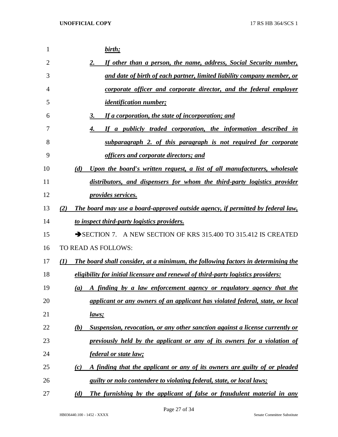| 1  | birth;                                                                                               |
|----|------------------------------------------------------------------------------------------------------|
| 2  | If other than a person, the name, address, Social Security number,<br>$2_{.}$                        |
| 3  | and date of birth of each partner, limited liability company member, or                              |
| 4  | corporate officer and corporate director, and the federal employer                                   |
| 5  | <i><u><b>identification number;</b></u></i>                                                          |
| 6  | If a corporation, the state of incorporation; and<br>3.                                              |
| 7  | If a publicly traded corporation, the information described in<br>4.                                 |
| 8  | subparagraph 2. of this paragraph is not required for corporate                                      |
| 9  | officers and corporate directors; and                                                                |
| 10 | Upon the board's written request, a list of all manufacturers, wholesale<br>(d)                      |
| 11 | distributors, and dispensers for whom the third-party logistics provider                             |
| 12 | <i>provides services.</i>                                                                            |
| 13 | The board may use a board-approved outside agency, if permitted by federal law,<br>(2)               |
| 14 | to inspect third-party logistics providers.                                                          |
| 15 | SECTION 7. A NEW SECTION OF KRS 315.400 TO 315.412 IS CREATED                                        |
| 16 | TO READ AS FOLLOWS:                                                                                  |
| 17 | The board shall consider, at a minimum, the following factors in determining the<br>$\mathcal{L}(I)$ |
| 18 | eligibility for initial licensure and renewal of third-party logistics providers:                    |
| 19 | A finding by a law enforcement agency or regulatory agency that the<br>(a)                           |
| 20 | applicant or any owners of an applicant has violated federal, state, or local                        |
| 21 | <u>laws;</u>                                                                                         |
| 22 | Suspension, revocation, or any other sanction against a license currently or<br>(b)                  |
| 23 | previously held by the applicant or any of its owners for a violation of                             |
| 24 | <i>federal or state law;</i>                                                                         |
| 25 | A finding that the applicant or any of its owners are guilty of or pleaded<br>$\left( c\right)$      |
| 26 | guilty or nolo contendere to violating federal, state, or local laws;                                |
| 27 | The furnishing by the applicant of false or fraudulent material in any<br>(d)                        |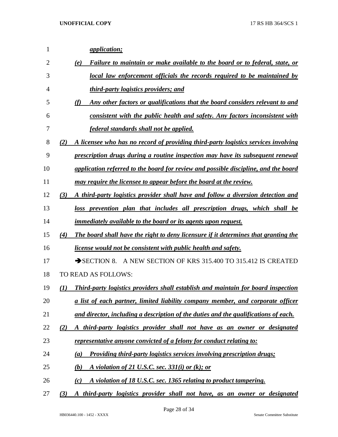| 1              | <i>application;</i>                                                                         |
|----------------|---------------------------------------------------------------------------------------------|
| $\overline{2}$ | Failure to maintain or make available to the board or to federal, state, or<br>(e)          |
| 3              | local law enforcement officials the records required to be maintained by                    |
| $\overline{4}$ | third-party logistics providers; and                                                        |
| 5              | Any other factors or qualifications that the board considers relevant to and<br>(f)         |
| 6              | consistent with the public health and safety. Any factors inconsistent with                 |
| 7              | federal standards shall not be applied.                                                     |
| 8              | A licensee who has no record of providing third-party logistics services involving<br>(2)   |
| 9              | prescription drugs during a routine inspection may have its subsequent renewal              |
| 10             | application referred to the board for review and possible discipline, and the board         |
| 11             | may require the licensee to appear before the board at the review.                          |
| 12             | A third-party logistics provider shall have and follow a diversion detection and<br>(3)     |
| 13             | loss prevention plan that includes all prescription drugs, which shall be                   |
| 14             | <i>immediately available to the board or its agents upon request.</i>                       |
| 15             | The board shall have the right to deny licensure if it determines that granting the<br>(4)  |
| 16             | <u>license would not be consistent with public health and safety.</u>                       |
| 17             | A NEW SECTION OF KRS 315.400 TO 315.412 IS CREATED<br>SECTION 8.                            |
| 18             | TO READ AS FOLLOWS:                                                                         |
| 19             | Third-party logistics providers shall establish and maintain for board inspection<br>(I)    |
| 20             | <u>a list of each partner, limited liability company member, and corporate officer</u>      |
| 21             | and director, including a description of the duties and the qualifications of each.         |
| 22             | (2)<br>third-party logistics provider shall not have as an owner or designated<br>$\bm{A}$  |
| 23             | representative anyone convicted of a felony for conduct relating to:                        |
| 24             | Providing third-party logistics services involving prescription drugs;<br>(a)               |
| 25             | (b)<br><u>A violation of 21 U.S.C. sec. 331(i) or (k); or</u>                               |
| 26             | A violation of 18 U.S.C. sec. 1365 relating to product tampering.<br>(c)                    |
| 27             | third-party logistics provider shall not have, as an owner or designated<br>(3)<br>$\bm{A}$ |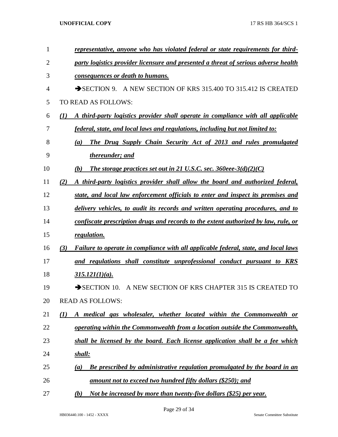| 1              |     | representative, anyone who has violated federal or state requirements for third-    |
|----------------|-----|-------------------------------------------------------------------------------------|
| $\overline{2}$ |     | party logistics provider licensure and presented a threat of serious adverse health |
| 3              |     | consequences or death to humans.                                                    |
| $\overline{4}$ |     | A NEW SECTION OF KRS 315.400 TO 315.412 IS CREATED<br>$\rightarrow$ SECTION 9.      |
| 5              |     | TO READ AS FOLLOWS:                                                                 |
| 6              | (1) | A third-party logistics provider shall operate in compliance with all applicable    |
| 7              |     | federal, state, and local laws and regulations, including but not limited to:       |
| 8              |     | The Drug Supply Chain Security Act of 2013 and rules promulgated<br>(a)             |
| 9              |     | thereunder; and                                                                     |
| 10             |     | The storage practices set out in 21 U.S.C. sec. $360$ eee- $3(d)(2)(C)$<br>(b)      |
| 11             | (2) | A third-party logistics provider shall allow the board and authorized federal,      |
| 12             |     | state, and local law enforcement officials to enter and inspect its premises and    |
| 13             |     | delivery vehicles, to audit its records and written operating procedures, and to    |
| 14             |     | confiscate prescription drugs and records to the extent authorized by law, rule, or |
| 15             |     | regulation.                                                                         |
| 16             | (3) | Failure to operate in compliance with all applicable federal, state, and local laws |
| 17             |     | and regulations shall constitute unprofessional conduct pursuant to KRS             |
| 18             |     | $315.121(1)(a)$ .                                                                   |
| 19             |     | $\rightarrow$ SECTION 10.<br>A NEW SECTION OF KRS CHAPTER 315 IS CREATED TO         |
| 20             |     | <b>READ AS FOLLOWS:</b>                                                             |
| 21             | (1) | A medical gas wholesaler, whether located within the Commonwealth or                |
| 22             |     | operating within the Commonwealth from a location outside the Commonwealth,         |
| 23             |     | shall be licensed by the board. Each license application shall be a fee which       |
| 24             |     | shall:                                                                              |
| 25             |     | Be prescribed by administrative regulation promulgated by the board in an<br>(a)    |
| 26             |     | amount not to exceed two hundred fifty dollars (\$250); and                         |
| 27             |     | Not be increased by more than twenty-five dollars (\$25) per year.<br>(b)           |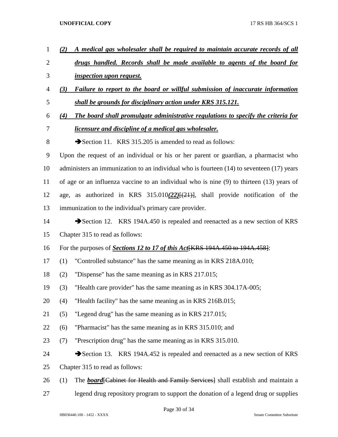*(2) A medical gas wholesaler shall be required to maintain accurate records of all drugs handled. Records shall be made available to agents of the board for inspection upon request. (3) Failure to report to the board or willful submission of inaccurate information shall be grounds for disciplinary action under KRS 315.121. (4) The board shall promulgate administrative regulations to specify the criteria for licensure and discipline of a medical gas wholesaler.* 8 Section 11. KRS 315.205 is amended to read as follows: Upon the request of an individual or his or her parent or guardian, a pharmacist who administers an immunization to an individual who is fourteen (14) to seventeen (17) years of age or an influenza vaccine to an individual who is nine (9) to thirteen (13) years of age, as authorized in KRS 315.010*(22)*[(21)], shall provide notification of the immunization to the individual's primary care provider. 14 Section 12. KRS 194A.450 is repealed and reenacted as a new section of KRS Chapter 315 to read as follows: For the purposes of *Sections 12 to 17 of this Act*[KRS 194A.450 to 194A.458]: (1) "Controlled substance" has the same meaning as in KRS 218A.010; (2) "Dispense" has the same meaning as in KRS 217.015; (3) "Health care provider" has the same meaning as in KRS 304.17A-005; (4) "Health facility" has the same meaning as in KRS 216B.015; (5) "Legend drug" has the same meaning as in KRS 217.015; (6) "Pharmacist" has the same meaning as in KRS 315.010; and (7) "Prescription drug" has the same meaning as in KRS 315.010. 24 Section 13. KRS 194A.452 is repealed and reenacted as a new section of KRS Chapter 315 to read as follows: 26 (1) The *board* Feabinet for Health and Family Services Ishall establish and maintain a legend drug repository program to support the donation of a legend drug or supplies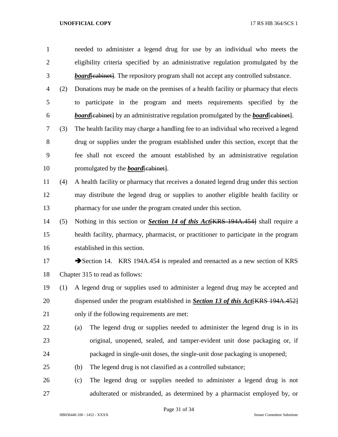needed to administer a legend drug for use by an individual who meets the eligibility criteria specified by an administrative regulation promulgated by the **board** [cabinet]. The repository program shall not accept any controlled substance. (2) Donations may be made on the premises of a health facility or pharmacy that elects to participate in the program and meets requirements specified by the *board*[cabinet] by an administrative regulation promulgated by the *board*[cabinet]. (3) The health facility may charge a handling fee to an individual who received a legend drug or supplies under the program established under this section, except that the fee shall not exceed the amount established by an administrative regulation 10 promulgated by the *board* [cabinet]. (4) A health facility or pharmacy that receives a donated legend drug under this section may distribute the legend drug or supplies to another eligible health facility or pharmacy for use under the program created under this section. (5) Nothing in this section or *Section 14 of this Act*[KRS 194A.454] shall require a health facility, pharmacy, pharmacist, or practitioner to participate in the program established in this section. 17 Section 14. KRS 194A.454 is repealed and reenacted as a new section of KRS Chapter 315 to read as follows: (1) A legend drug or supplies used to administer a legend drug may be accepted and dispensed under the program established in *Section 13 of this Act*[KRS 194A.452] only if the following requirements are met:

- (a) The legend drug or supplies needed to administer the legend drug is in its original, unopened, sealed, and tamper-evident unit dose packaging or, if packaged in single-unit doses, the single-unit dose packaging is unopened;
- (b) The legend drug is not classified as a controlled substance;
- (c) The legend drug or supplies needed to administer a legend drug is not adulterated or misbranded, as determined by a pharmacist employed by, or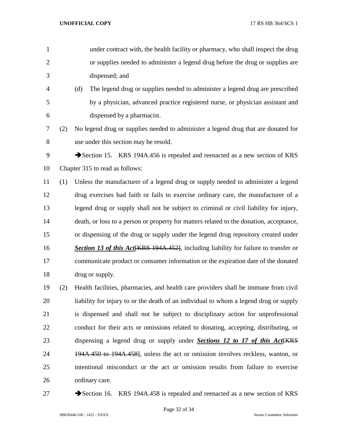- under contract with, the health facility or pharmacy, who shall inspect the drug or supplies needed to administer a legend drug before the drug or supplies are dispensed; and (d) The legend drug or supplies needed to administer a legend drug are prescribed by a physician, advanced practice registered nurse, or physician assistant and dispensed by a pharmacist. (2) No legend drug or supplies needed to administer a legend drug that are donated for use under this section may be resold. 9 Section 15. KRS 194A.456 is repealed and reenacted as a new section of KRS Chapter 315 to read as follows:
- (1) Unless the manufacturer of a legend drug or supply needed to administer a legend drug exercises bad faith or fails to exercise ordinary care, the manufacturer of a legend drug or supply shall not be subject to criminal or civil liability for injury, death, or loss to a person or property for matters related to the donation, acceptance, or dispensing of the drug or supply under the legend drug repository created under **Section 13 of this Act** KRS 194A.452, including liability for failure to transfer or communicate product or consumer information or the expiration date of the donated 18 drug or supply.
- (2) Health facilities, pharmacies, and health care providers shall be immune from civil liability for injury to or the death of an individual to whom a legend drug or supply is dispensed and shall not be subject to disciplinary action for unprofessional conduct for their acts or omissions related to donating, accepting, distributing, or 23 dispensing a legend drug or supply under *Sections 12 to 17 of this Act* [KRS] 24 194A.450 to 194A.458, unless the act or omission involves reckless, wanton, or intentional misconduct or the act or omission results from failure to exercise ordinary care.
- 

27 Section 16. KRS 194A.458 is repealed and reenacted as a new section of KRS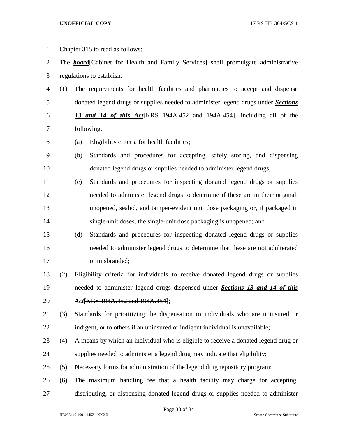Chapter 315 to read as follows: 2 The *board* [Cabinet for Health and Family Services] shall promulgate administrative regulations to establish: (1) The requirements for health facilities and pharmacies to accept and dispense donated legend drugs or supplies needed to administer legend drugs under *Sections 13 and 14 of this Act*[KRS 194A.452 and 194A.454], including all of the following: (a) Eligibility criteria for health facilities; (b) Standards and procedures for accepting, safely storing, and dispensing donated legend drugs or supplies needed to administer legend drugs; (c) Standards and procedures for inspecting donated legend drugs or supplies needed to administer legend drugs to determine if these are in their original, unopened, sealed, and tamper-evident unit dose packaging or, if packaged in single-unit doses, the single-unit dose packaging is unopened; and (d) Standards and procedures for inspecting donated legend drugs or supplies needed to administer legend drugs to determine that these are not adulterated or misbranded; (2) Eligibility criteria for individuals to receive donated legend drugs or supplies needed to administer legend drugs dispensed under *Sections 13 and 14 of this Act*[KRS 194A.452 and 194A.454]; (3) Standards for prioritizing the dispensation to individuals who are uninsured or indigent, or to others if an uninsured or indigent individual is unavailable; (4) A means by which an individual who is eligible to receive a donated legend drug or supplies needed to administer a legend drug may indicate that eligibility; (5) Necessary forms for administration of the legend drug repository program; (6) The maximum handling fee that a health facility may charge for accepting, distributing, or dispensing donated legend drugs or supplies needed to administer

Page 33 of 34